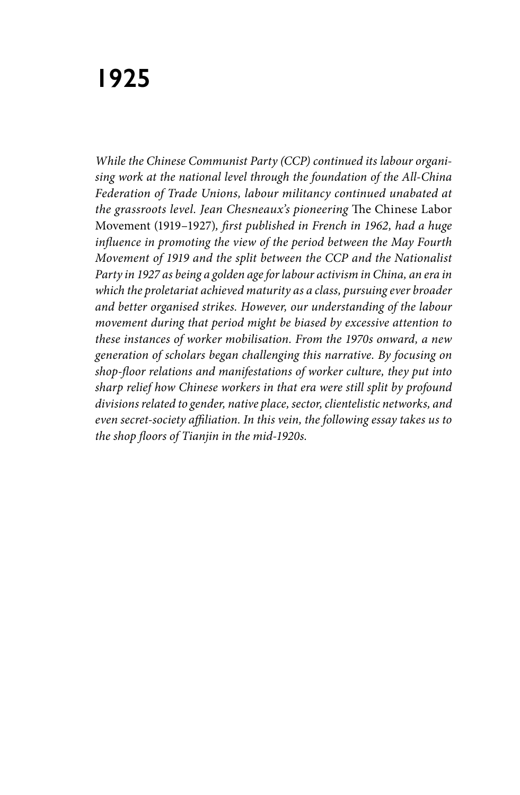# **1925**

*While the Chinese Communist Party (CCP) continued its labour organising work at the national level through the foundation of the All-China Federation of Trade Unions, labour militancy continued unabated at the grassroots level. Jean Chesneaux's pioneering* The Chinese Labor Movement (1919–1927)*, first published in French in 1962, had a huge influence in promoting the view of the period between the May Fourth Movement of 1919 and the split between the CCP and the Nationalist Party in 1927 as being a golden age for labour activism in China, an era in which the proletariat achieved maturity as a class, pursuing ever broader and better organised strikes. However, our understanding of the labour movement during that period might be biased by excessive attention to these instances of worker mobilisation. From the 1970s onward, a new generation of scholars began challenging this narrative. By focusing on shop-floor relations and manifestations of worker culture, they put into sharp relief how Chinese workers in that era were still split by profound divisions related to gender, native place, sector, clientelistic networks, and even secret-society affiliation. In this vein, the following essay takes us to the shop floors of Tianjin in the mid-1920s.*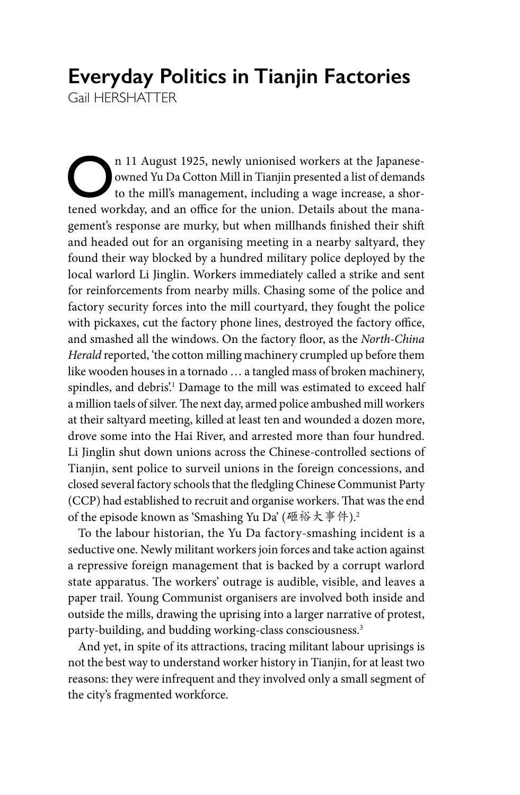# **Everyday Politics in Tianjin Factories**

Gail HERSHATTER

On 11 August 1925, newly unionised workers at the Japanese-<br>
owned Yu Da Cotton Mill in Tianjin presented a list of demands<br>
to the mill's management, including a wage increase, a shor-<br>
tened workday and an office for the owned Yu Da Cotton Mill in Tianjin presented a list of demands to the mill's management, including a wage increase, a shortened workday, and an office for the union. Details about the management's response are murky, but when millhands finished their shift and headed out for an organising meeting in a nearby saltyard, they found their way blocked by a hundred military police deployed by the local warlord Li Jinglin. Workers immediately called a strike and sent for reinforcements from nearby mills. Chasing some of the police and factory security forces into the mill courtyard, they fought the police with pickaxes, cut the factory phone lines, destroyed the factory office, and smashed all the windows. On the factory floor, as the *North-China Herald* reported, 'the cotton milling machinery crumpled up before them like wooden houses in a tornado … a tangled mass of broken machinery, spindles, and debris.' Damage to the mill was estimated to exceed half a million taels of silver. The next day, armed police ambushed mill workers at their saltyard meeting, killed at least ten and wounded a dozen more, drove some into the Hai River, and arrested more than four hundred. Li Jinglin shut down unions across the Chinese-controlled sections of Tianjin, sent police to surveil unions in the foreign concessions, and closed several factory schools that the fledgling Chinese Communist Party (CCP) had established to recruit and organise workers. That was the end of the episode known as 'Smashing Yu Da' (砸裕大事件).<sup>2</sup>

To the labour historian, the Yu Da factory-smashing incident is a seductive one. Newly militant workers join forces and take action against a repressive foreign management that is backed by a corrupt warlord state apparatus. The workers' outrage is audible, visible, and leaves a paper trail. Young Communist organisers are involved both inside and outside the mills, drawing the uprising into a larger narrative of protest, party-building, and budding working-class consciousness.3

And yet, in spite of its attractions, tracing militant labour uprisings is not the best way to understand worker history in Tianjin, for at least two reasons: they were infrequent and they involved only a small segment of the city's fragmented workforce.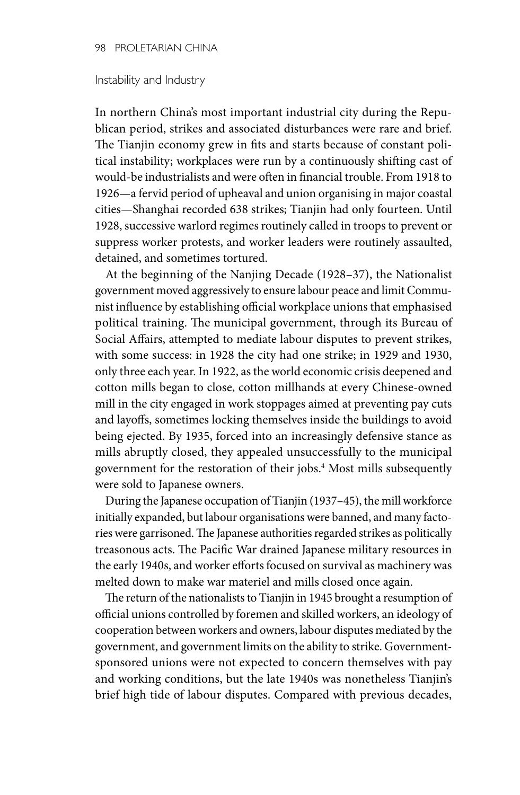#### Instability and Industry

In northern China's most important industrial city during the Republican period, strikes and associated disturbances were rare and brief. The Tianjin economy grew in fits and starts because of constant political instability; workplaces were run by a continuously shifting cast of would-be industrialists and were often in financial trouble. From 1918 to 1926—a fervid period of upheaval and union organising in major coastal cities—Shanghai recorded 638 strikes; Tianjin had only fourteen. Until 1928, successive warlord regimes routinely called in troops to prevent or suppress worker protests, and worker leaders were routinely assaulted, detained, and sometimes tortured.

At the beginning of the Nanjing Decade (1928–37), the Nationalist government moved aggressively to ensure labour peace and limit Communist influence by establishing official workplace unions that emphasised political training. The municipal government, through its Bureau of Social Affairs, attempted to mediate labour disputes to prevent strikes, with some success: in 1928 the city had one strike; in 1929 and 1930, only three each year. In 1922, as the world economic crisis deepened and cotton mills began to close, cotton millhands at every Chinese-owned mill in the city engaged in work stoppages aimed at preventing pay cuts and layoffs, sometimes locking themselves inside the buildings to avoid being ejected. By 1935, forced into an increasingly defensive stance as mills abruptly closed, they appealed unsuccessfully to the municipal government for the restoration of their jobs.4 Most mills subsequently were sold to Japanese owners.

During the Japanese occupation of Tianjin (1937–45), the mill workforce initially expanded, but labour organisations were banned, and many factories were garrisoned. The Japanese authorities regarded strikes as politically treasonous acts. The Pacific War drained Japanese military resources in the early 1940s, and worker efforts focused on survival as machinery was melted down to make war materiel and mills closed once again.

The return of the nationalists to Tianjin in 1945 brought a resumption of official unions controlled by foremen and skilled workers, an ideology of cooperation between workers and owners, labour disputes mediated by the government, and government limits on the ability to strike. Governmentsponsored unions were not expected to concern themselves with pay and working conditions, but the late 1940s was nonetheless Tianjin's brief high tide of labour disputes. Compared with previous decades,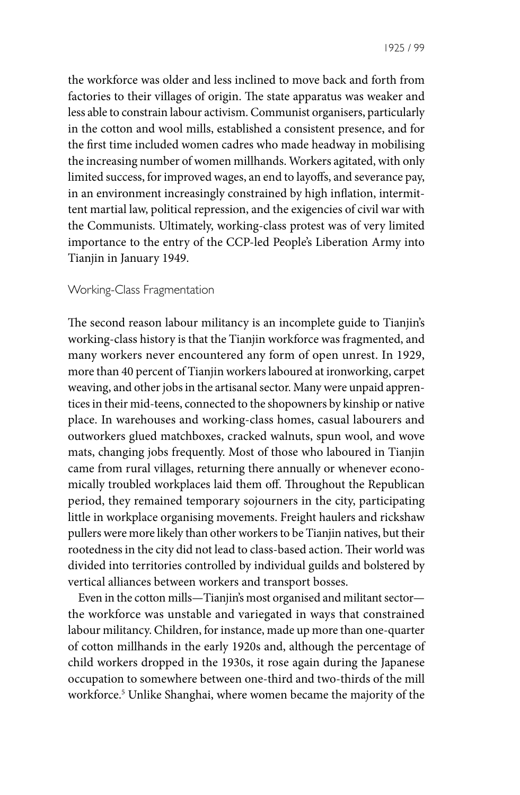1925 / 99

the workforce was older and less inclined to move back and forth from factories to their villages of origin. The state apparatus was weaker and less able to constrain labour activism. Communist organisers, particularly in the cotton and wool mills, established a consistent presence, and for the first time included women cadres who made headway in mobilising the increasing number of women millhands. Workers agitated, with only limited success, for improved wages, an end to layoffs, and severance pay, in an environment increasingly constrained by high inflation, intermittent martial law, political repression, and the exigencies of civil war with the Communists. Ultimately, working-class protest was of very limited importance to the entry of the CCP-led People's Liberation Army into Tianjin in January 1949.

# Working-Class Fragmentation

The second reason labour militancy is an incomplete guide to Tianjin's working-class history is that the Tianjin workforce was fragmented, and many workers never encountered any form of open unrest. In 1929, more than 40 percent of Tianjin workers laboured at ironworking, carpet weaving, and other jobs in the artisanal sector. Many were unpaid apprentices in their mid-teens, connected to the shopowners by kinship or native place. In warehouses and working-class homes, casual labourers and outworkers glued matchboxes, cracked walnuts, spun wool, and wove mats, changing jobs frequently. Most of those who laboured in Tianjin came from rural villages, returning there annually or whenever economically troubled workplaces laid them off. Throughout the Republican period, they remained temporary sojourners in the city, participating little in workplace organising movements. Freight haulers and rickshaw pullers were more likely than other workers to be Tianjin natives, but their rootedness in the city did not lead to class-based action. Their world was divided into territories controlled by individual guilds and bolstered by vertical alliances between workers and transport bosses.

Even in the cotton mills—Tianjin's most organised and militant sector the workforce was unstable and variegated in ways that constrained labour militancy. Children, for instance, made up more than one-quarter of cotton millhands in the early 1920s and, although the percentage of child workers dropped in the 1930s, it rose again during the Japanese occupation to somewhere between one-third and two-thirds of the mill workforce.5 Unlike Shanghai, where women became the majority of the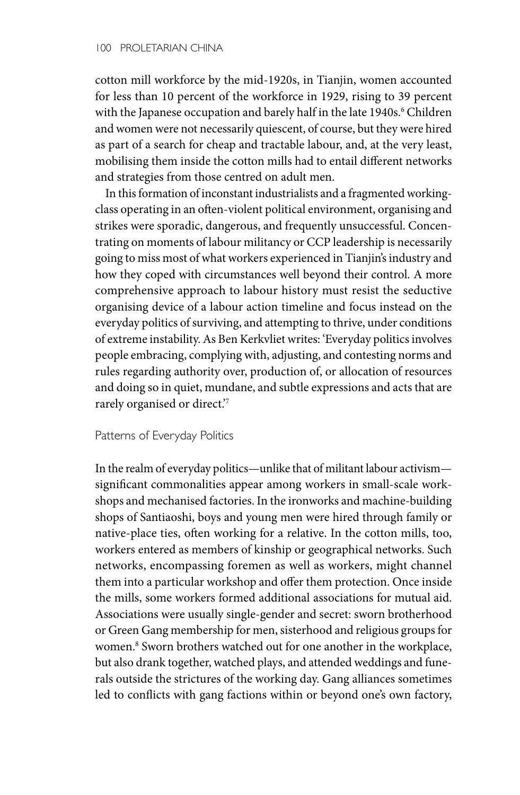cotton mill workforce by the mid-1920s, in Tianjin, women accounted for less than 10 percent of the workforce in 1929, rising to 39 percent with the Japanese occupation and barely half in the late 1940s.<sup>6</sup> Children and women were not necessarily quiescent, of course, but they were hired as part of a search for cheap and tractable labour, and, at the very least, mobilising them inside the cotton mills had to entail different networks and strategies from those centred on adult men.

In this formation of inconstant industrialists and a fragmented workingclass operating in an often-violent political environment, organising and strikes were sporadic, dangerous, and frequently unsuccessful. Concentrating on moments of labour militancy or CCP leadership is necessarily going to miss most of what workers experienced in Tianjin's industry and how they coped with circumstances well beyond their control. A more comprehensive approach to labour history must resist the seductive organising device of a labour action timeline and focus instead on the everyday politics of surviving, and attempting to thrive, under conditions of extreme instability. As Ben Kerkvliet writes: 'Everyday politics involves people embracing, complying with, adjusting, and contesting norms and rules regarding authority over, production of, or allocation of resources and doing so in quiet, mundane, and subtle expressions and acts that are rarely organised or direct.'7

## Patterns of Everyday Politics

In the realm of everyday politics—unlike that of militant labour activism significant commonalities appear among workers in small-scale workshops and mechanised factories. In the ironworks and machine-building shops of Santiaoshi, boys and young men were hired through family or native-place ties, often working for a relative. In the cotton mills, too, workers entered as members of kinship or geographical networks. Such networks, encompassing foremen as well as workers, might channel them into a particular workshop and offer them protection. Once inside the mills, some workers formed additional associations for mutual aid. Associations were usually single-gender and secret: sworn brotherhood or Green Gang membership for men, sisterhood and religious groups for women.<sup>8</sup> Sworn brothers watched out for one another in the workplace, but also drank together, watched plays, and attended weddings and funerals outside the strictures of the working day. Gang alliances sometimes led to conflicts with gang factions within or beyond one's own factory,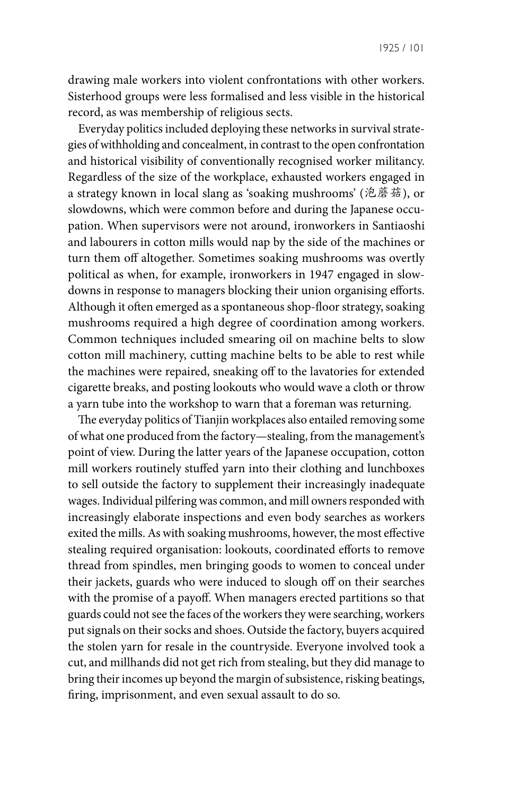1925 / 101

drawing male workers into violent confrontations with other workers. Sisterhood groups were less formalised and less visible in the historical record, as was membership of religious sects.

Everyday politics included deploying these networks in survival strategies of withholding and concealment, in contrast to the open confrontation and historical visibility of conventionally recognised worker militancy. Regardless of the size of the workplace, exhausted workers engaged in a strategy known in local slang as 'soaking mushrooms' (泡蘑菇), or slowdowns, which were common before and during the Japanese occupation. When supervisors were not around, ironworkers in Santiaoshi and labourers in cotton mills would nap by the side of the machines or turn them off altogether. Sometimes soaking mushrooms was overtly political as when, for example, ironworkers in 1947 engaged in slowdowns in response to managers blocking their union organising efforts. Although it often emerged as a spontaneous shop-floor strategy, soaking mushrooms required a high degree of coordination among workers. Common techniques included smearing oil on machine belts to slow cotton mill machinery, cutting machine belts to be able to rest while the machines were repaired, sneaking off to the lavatories for extended cigarette breaks, and posting lookouts who would wave a cloth or throw a yarn tube into the workshop to warn that a foreman was returning.

The everyday politics of Tianjin workplaces also entailed removing some of what one produced from the factory—stealing, from the management's point of view. During the latter years of the Japanese occupation, cotton mill workers routinely stuffed yarn into their clothing and lunchboxes to sell outside the factory to supplement their increasingly inadequate wages. Individual pilfering was common, and mill owners responded with increasingly elaborate inspections and even body searches as workers exited the mills. As with soaking mushrooms, however, the most effective stealing required organisation: lookouts, coordinated efforts to remove thread from spindles, men bringing goods to women to conceal under their jackets, guards who were induced to slough off on their searches with the promise of a payoff. When managers erected partitions so that guards could not see the faces of the workers they were searching, workers put signals on their socks and shoes. Outside the factory, buyers acquired the stolen yarn for resale in the countryside. Everyone involved took a cut, and millhands did not get rich from stealing, but they did manage to bring their incomes up beyond the margin of subsistence, risking beatings, firing, imprisonment, and even sexual assault to do so.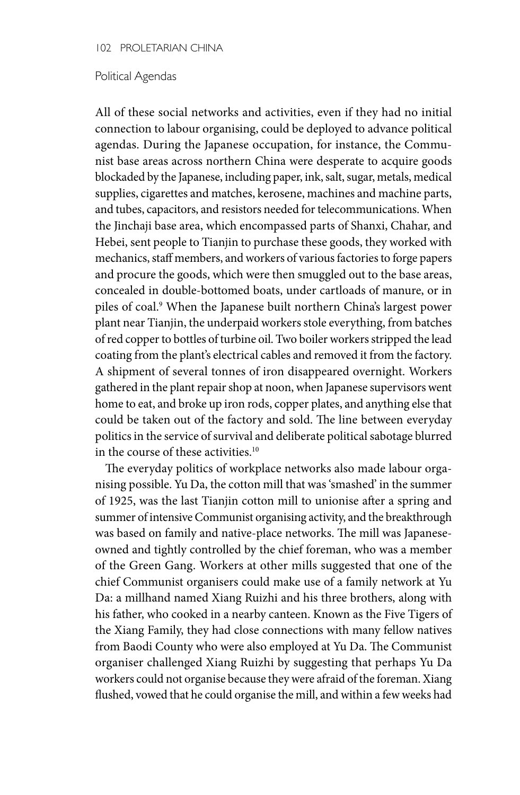#### 102 PROLETARIAN CHINA

### Political Agendas

All of these social networks and activities, even if they had no initial connection to labour organising, could be deployed to advance political agendas. During the Japanese occupation, for instance, the Communist base areas across northern China were desperate to acquire goods blockaded by the Japanese, including paper, ink, salt, sugar, metals, medical supplies, cigarettes and matches, kerosene, machines and machine parts, and tubes, capacitors, and resistors needed for telecommunications. When the Jinchaji base area, which encompassed parts of Shanxi, Chahar, and Hebei, sent people to Tianjin to purchase these goods, they worked with mechanics, staff members, and workers of various factories to forge papers and procure the goods, which were then smuggled out to the base areas, concealed in double-bottomed boats, under cartloads of manure, or in piles of coal.9 When the Japanese built northern China's largest power plant near Tianjin, the underpaid workers stole everything, from batches of red copper to bottles of turbine oil. Two boiler workers stripped the lead coating from the plant's electrical cables and removed it from the factory. A shipment of several tonnes of iron disappeared overnight. Workers gathered in the plant repair shop at noon, when Japanese supervisors went home to eat, and broke up iron rods, copper plates, and anything else that could be taken out of the factory and sold. The line between everyday politics in the service of survival and deliberate political sabotage blurred in the course of these activities.<sup>10</sup>

The everyday politics of workplace networks also made labour organising possible. Yu Da, the cotton mill that was 'smashed' in the summer of 1925, was the last Tianjin cotton mill to unionise after a spring and summer of intensive Communist organising activity, and the breakthrough was based on family and native-place networks. The mill was Japaneseowned and tightly controlled by the chief foreman, who was a member of the Green Gang. Workers at other mills suggested that one of the chief Communist organisers could make use of a family network at Yu Da: a millhand named Xiang Ruizhi and his three brothers, along with his father, who cooked in a nearby canteen. Known as the Five Tigers of the Xiang Family, they had close connections with many fellow natives from Baodi County who were also employed at Yu Da. The Communist organiser challenged Xiang Ruizhi by suggesting that perhaps Yu Da workers could not organise because they were afraid of the foreman. Xiang flushed, vowed that he could organise the mill, and within a few weeks had